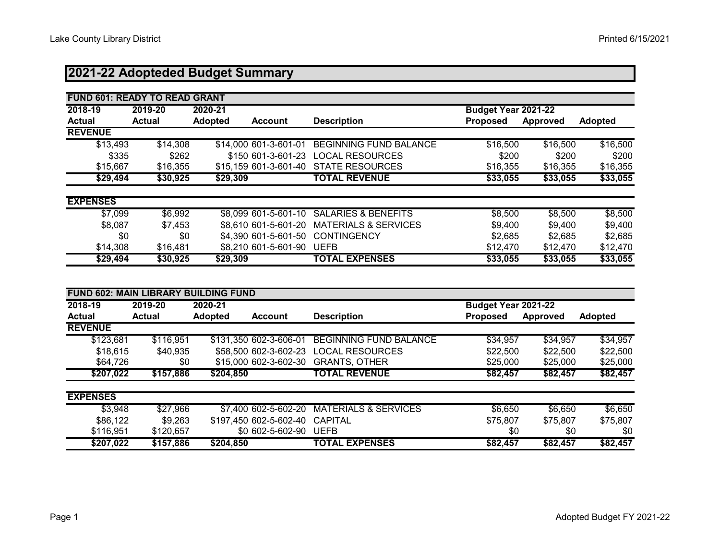# **2021-22 Adopteded Budget Summary**

| <b>FUND 601: READY TO READ GRANT</b> |               |                                  |                                 |                            |          |                |
|--------------------------------------|---------------|----------------------------------|---------------------------------|----------------------------|----------|----------------|
| 2018-19                              | 2019-20       | 2020-21                          |                                 | <b>Budget Year 2021-22</b> |          |                |
| <b>Actual</b>                        | <b>Actual</b> | <b>Adopted</b><br><b>Account</b> | <b>Description</b>              | <b>Proposed</b>            | Approved | <b>Adopted</b> |
| <b>REVENUE</b>                       |               |                                  |                                 |                            |          |                |
| \$13,493                             | \$14,308      | \$14,000 601-3-601-01            | <b>BEGINNING FUND BALANCE</b>   | \$16,500                   | \$16,500 | \$16,500       |
| \$335                                | \$262         | \$150 601-3-601-23               | <b>LOCAL RESOURCES</b>          | \$200                      | \$200    | \$200          |
| \$15,667                             | \$16,355      | \$15,159 601-3-601-40            | <b>STATE RESOURCES</b>          | \$16,355                   | \$16,355 | \$16,355       |
| \$29,494                             | \$30,925      | \$29,309                         | <b>TOTAL REVENUE</b>            | \$33,055                   | \$33,055 | \$33,055       |
| <b>EXPENSES</b>                      |               |                                  |                                 |                            |          |                |
| \$7,099                              | \$6,992       | \$8,099 601-5-601-10             | <b>SALARIES &amp; BENEFITS</b>  | \$8,500                    | \$8,500  | \$8,500        |
| \$8,087                              | \$7,453       | \$8,610 601-5-601-20             | <b>MATERIALS &amp; SERVICES</b> | \$9,400                    | \$9,400  | \$9,400        |
| \$0                                  | \$0           | \$4,390 601-5-601-50             | <b>CONTINGENCY</b>              | \$2,685                    | \$2,685  | \$2,685        |
| \$14,308                             | \$16,481      | \$8,210 601-5-601-90             | <b>UEFB</b>                     | \$12,470                   | \$12,470 | \$12,470       |
| \$29,494                             | \$30,925      | \$29,309                         | <b>TOTAL EXPENSES</b>           | \$33,055                   | \$33,055 | \$33,055       |

|                 | <b>FUND 602: MAIN LIBRARY</b><br><b>BUILDING FUND</b> |                |                        |                                 |                      |          |                |  |  |  |  |  |  |
|-----------------|-------------------------------------------------------|----------------|------------------------|---------------------------------|----------------------|----------|----------------|--|--|--|--|--|--|
| 2018-19         | 2019-20                                               | 2020-21        |                        |                                 | Budget Year 2021-22  |          |                |  |  |  |  |  |  |
| <b>Actual</b>   | <b>Actual</b>                                         | <b>Adopted</b> | <b>Account</b>         | <b>Description</b>              | <b>Proposed</b>      | Approved | <b>Adopted</b> |  |  |  |  |  |  |
| <b>REVENUE</b>  |                                                       |                |                        |                                 |                      |          |                |  |  |  |  |  |  |
| \$123,681       | \$116,951                                             |                | \$131,350 602-3-606-01 | <b>BEGINNING FUND BALANCE</b>   | $\overline{334,957}$ | \$34,957 | \$34,957       |  |  |  |  |  |  |
| \$18,615        | \$40,935                                              |                | \$58,500 602-3-602-23  | <b>LOCAL RESOURCES</b>          | \$22,500             | \$22,500 | \$22,500       |  |  |  |  |  |  |
| \$64,726        | \$0                                                   |                | \$15,000 602-3-602-30  | <b>GRANTS, OTHER</b>            | \$25,000             | \$25,000 | \$25,000       |  |  |  |  |  |  |
| \$207,022       | \$157,886                                             | \$204,850      |                        | <b>TOTAL REVENUE</b>            | \$82,457             | \$82,457 | \$82,457       |  |  |  |  |  |  |
| <b>EXPENSES</b> |                                                       |                |                        |                                 |                      |          |                |  |  |  |  |  |  |
| \$3,948         | \$27,966                                              |                | \$7,400 602-5-602-20   | <b>MATERIALS &amp; SERVICES</b> | \$6,650              | \$6,650  | \$6,650        |  |  |  |  |  |  |
| \$86,122        | \$9,263                                               |                | \$197,450 602-5-602-40 | <b>CAPITAL</b>                  | \$75,807             | \$75,807 | \$75,807       |  |  |  |  |  |  |
| \$116,951       | \$120,657                                             |                | \$0 602-5-602-90       | <b>UEFB</b>                     | \$0                  | \$0      | \$0            |  |  |  |  |  |  |
| \$207,022       | \$157,886                                             | \$204,850      |                        | <b>TOTAL EXPENSES</b>           | \$82,457             | \$82,457 | \$82,457       |  |  |  |  |  |  |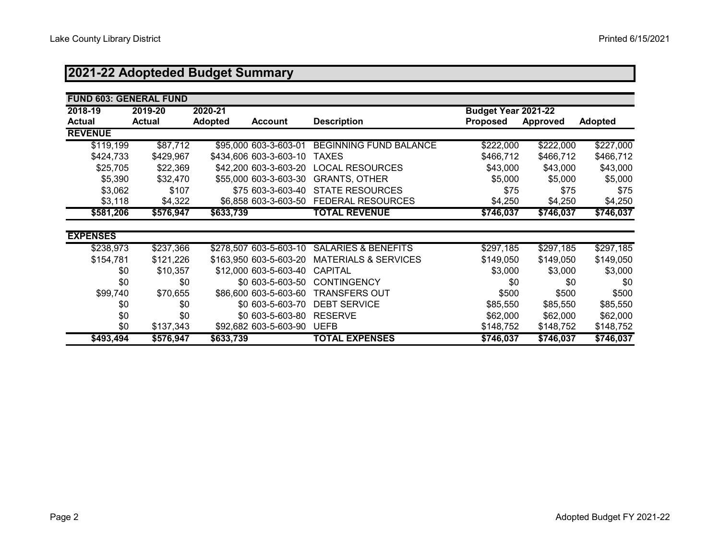# **2021-22 Adopteded Budget Summary**

| <b>FUND 603: GENERAL FUND</b> |               |                |                        |                                 |                     |           |                |
|-------------------------------|---------------|----------------|------------------------|---------------------------------|---------------------|-----------|----------------|
| 2018-19                       | 2019-20       | 2020-21        |                        |                                 | Budget Year 2021-22 |           |                |
| <b>Actual</b>                 | <b>Actual</b> | <b>Adopted</b> | <b>Account</b>         | <b>Description</b>              | <b>Proposed</b>     | Approved  | <b>Adopted</b> |
| <b>REVENUE</b>                |               |                |                        |                                 |                     |           |                |
| \$119,199                     | \$87,712      |                | \$95,000 603-3-603-01  | <b>BEGINNING FUND BALANCE</b>   | \$222,000           | \$222,000 | \$227,000      |
| \$424,733                     | \$429,967     |                | \$434,606 603-3-603-10 | <b>TAXES</b>                    | \$466,712           | \$466,712 | \$466,712      |
| \$25,705                      | \$22,369      |                | \$42,200 603-3-603-20  | <b>LOCAL RESOURCES</b>          | \$43,000            | \$43,000  | \$43,000       |
| \$5,390                       | \$32,470      |                | \$55,000 603-3-603-30  | <b>GRANTS, OTHER</b>            | \$5,000             | \$5,000   | \$5,000        |
| \$3,062                       | \$107         |                | \$75 603-3-603-40      | <b>STATE RESOURCES</b>          | \$75                | \$75      | \$75           |
| \$3,118                       | \$4,322       |                | \$6,858 603-3-603-50   | <b>FEDERAL RESOURCES</b>        | \$4,250             | \$4,250   | \$4,250        |
| \$581,206                     | \$576,947     | \$633,739      |                        | <b>TOTAL REVENUE</b>            | \$746,037           | \$746,037 | \$746,037      |
|                               |               |                |                        |                                 |                     |           |                |
| <b>EXPENSES</b>               |               |                |                        |                                 |                     |           |                |
| \$238,973                     | \$237,366     |                | \$278,507 603-5-603-10 | <b>SALARIES &amp; BENEFITS</b>  | \$297,185           | \$297,185 | \$297,185      |
| \$154,781                     | \$121,226     |                | \$163,950 603-5-603-20 | <b>MATERIALS &amp; SERVICES</b> | \$149,050           | \$149,050 | \$149,050      |
| \$0                           | \$10,357      |                | \$12,000 603-5-603-40  | <b>CAPITAL</b>                  | \$3,000             | \$3,000   | \$3,000        |
| \$0                           | \$0           |                | \$0 603-5-603-50       | <b>CONTINGENCY</b>              | \$0                 | \$0       | \$0            |
| \$99,740                      | \$70,655      |                | \$86,600 603-5-603-60  | <b>TRANSFERS OUT</b>            | \$500               | \$500     | \$500          |
| \$0                           | \$0           |                | \$0 603-5-603-70       | <b>DEBT SERVICE</b>             | \$85,550            | \$85,550  | \$85,550       |
| \$0                           | \$0           |                | \$0 603-5-603-80       | <b>RESERVE</b>                  | \$62,000            | \$62,000  | \$62,000       |
| \$0                           | \$137,343     |                | \$92,682 603-5-603-90  | <b>UEFB</b>                     | \$148,752           | \$148,752 | \$148,752      |
| \$493,494                     | \$576,947     | \$633,739      |                        | <b>TOTAL EXPENSES</b>           | \$746,037           | \$746,037 | \$746,037      |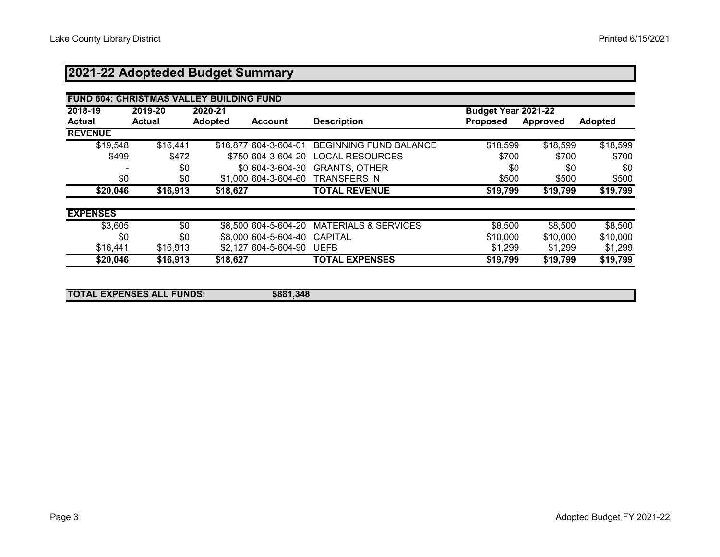# **2021-22 Adopteded Budget Summary**

|                 | <b>FUND 604: CHRISTMAS VALLEY BUILDING FUND</b> |                                  |             |                                 |                     |          |                |  |  |  |  |
|-----------------|-------------------------------------------------|----------------------------------|-------------|---------------------------------|---------------------|----------|----------------|--|--|--|--|
| 2018-19         | 2019-20                                         | 2020-21                          |             |                                 | Budget Year 2021-22 |          |                |  |  |  |  |
| Actual          | <b>Actual</b>                                   | <b>Adopted</b><br><b>Account</b> |             | <b>Description</b>              | <b>Proposed</b>     | Approved | <b>Adopted</b> |  |  |  |  |
| <b>REVENUE</b>  |                                                 |                                  |             |                                 |                     |          |                |  |  |  |  |
| \$19,548        | \$16,441                                        | \$16,877 604-3-604-01            |             | <b>BEGINNING FUND BALANCE</b>   | \$18,599            | \$18,599 | \$18,599       |  |  |  |  |
| \$499           | \$472                                           | \$750 604-3-604-20               |             | <b>LOCAL RESOURCES</b>          | \$700               | \$700    | \$700          |  |  |  |  |
|                 | \$0                                             | \$0 604-3-604-30                 |             | <b>GRANTS, OTHER</b>            | \$0                 | \$0      | \$0            |  |  |  |  |
| \$0             | \$0                                             | \$1,000 604-3-604-60             |             | <b>TRANSFERS IN</b>             | \$500               | \$500    | \$500          |  |  |  |  |
| \$20,046        | \$16,913                                        | \$18,627                         |             | <b>TOTAL REVENUE</b>            | \$19,799            | \$19,799 | \$19,799       |  |  |  |  |
| <b>EXPENSES</b> |                                                 |                                  |             |                                 |                     |          |                |  |  |  |  |
| \$3,605         | \$0                                             | \$8,500 604-5-604-20             |             | <b>MATERIALS &amp; SERVICES</b> | \$8,500             | \$8,500  | \$8,500        |  |  |  |  |
| \$0             | \$0                                             | \$8,000 604-5-604-40             |             | <b>CAPITAL</b>                  | \$10,000            | \$10,000 | \$10,000       |  |  |  |  |
| \$16,441        | \$16,913                                        | \$2,127 604-5-604-90             | <b>UEFB</b> |                                 | \$1,299             | \$1,299  | \$1,299        |  |  |  |  |
| \$20,046        | \$16,913                                        | \$18,627                         |             | <b>TOTAL EXPENSES</b>           | \$19,799            | \$19,799 | \$19,799       |  |  |  |  |
|                 |                                                 |                                  |             |                                 |                     |          |                |  |  |  |  |

| <b>TOTAL EXPENSES ALL FUNDS:</b> | \$881,348 |  |
|----------------------------------|-----------|--|
|                                  |           |  |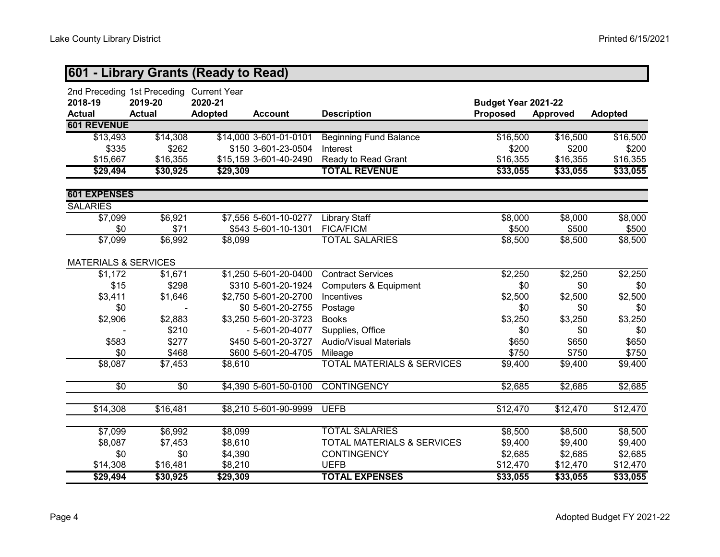|                                 |                                                                      | 601 - Library Grants (Ready to Read) |                        |                                       |                                        |          |                 |
|---------------------------------|----------------------------------------------------------------------|--------------------------------------|------------------------|---------------------------------------|----------------------------------------|----------|-----------------|
| 2018-19<br><b>Actual</b>        | 2nd Preceding 1st Preceding Current Year<br>2019-20<br><b>Actual</b> | 2020-21<br><b>Adopted</b>            | <b>Account</b>         | <b>Description</b>                    | Budget Year 2021-22<br><b>Proposed</b> | Approved | <b>Adopted</b>  |
| <b>601 REVENUE</b>              |                                                                      |                                      |                        |                                       |                                        |          |                 |
| \$13,493                        | \$14,308                                                             |                                      | \$14,000 3-601-01-0101 | <b>Beginning Fund Balance</b>         | \$16,500                               | \$16,500 | \$16,500        |
| \$335                           | \$262                                                                |                                      | \$150 3-601-23-0504    | Interest                              | \$200                                  | \$200    | \$200           |
| \$15,667                        | \$16,355                                                             |                                      | \$15,159 3-601-40-2490 | Ready to Read Grant                   | \$16,355                               | \$16,355 | \$16,355        |
| \$29,494                        | \$30,925                                                             | \$29,309                             |                        | <b>TOTAL REVENUE</b>                  | \$33,055                               | \$33,055 | \$33,055        |
| <b>601 EXPENSES</b>             |                                                                      |                                      |                        |                                       |                                        |          |                 |
| <b>SALARIES</b>                 |                                                                      |                                      |                        |                                       |                                        |          |                 |
| \$7,099                         | \$6,921                                                              |                                      | \$7,556 5-601-10-0277  | Library Staff                         | \$8,000                                | \$8,000  | \$8,000         |
| \$0                             | \$71                                                                 |                                      | \$543 5-601-10-1301    | <b>FICA/FICM</b>                      | \$500                                  | \$500    | \$500           |
| \$7,099                         | \$6,992                                                              | \$8,099                              |                        | <b>TOTAL SALARIES</b>                 | \$8,500                                | \$8,500  | \$8,500         |
| <b>MATERIALS &amp; SERVICES</b> |                                                                      |                                      |                        |                                       |                                        |          |                 |
| \$1,172                         | \$1,671                                                              |                                      | \$1,250 5-601-20-0400  | <b>Contract Services</b>              | \$2,250                                | \$2,250  | \$2,250         |
| \$15                            | \$298                                                                |                                      | \$310 5-601-20-1924    | <b>Computers &amp; Equipment</b>      | \$0                                    | \$0      | \$0             |
| \$3,411                         | \$1,646                                                              |                                      | \$2,750 5-601-20-2700  | Incentives                            | \$2,500                                | \$2,500  | \$2,500         |
| \$0                             |                                                                      |                                      | \$0 5-601-20-2755      | Postage                               | \$0                                    | \$0      | \$0             |
| \$2,906                         | \$2,883                                                              |                                      | \$3,250 5-601-20-3723  | <b>Books</b>                          | \$3,250                                | \$3,250  | \$3,250         |
|                                 | \$210                                                                |                                      | $-5 - 601 - 20 - 4077$ | Supplies, Office                      | \$0                                    | \$0      | \$0             |
| \$583                           | \$277                                                                |                                      | \$450 5-601-20-3727    | <b>Audio/Visual Materials</b>         | \$650                                  | \$650    | \$650           |
| \$0                             | \$468                                                                |                                      | \$600 5-601-20-4705    | Mileage                               | \$750                                  | \$750    | \$750           |
| \$8,087                         | \$7,453                                                              | \$8,610                              |                        | <b>TOTAL MATERIALS &amp; SERVICES</b> | \$9,400                                | \$9,400  | \$9,400         |
| \$0                             | \$0                                                                  |                                      | \$4,390 5-601-50-0100  | <b>CONTINGENCY</b>                    | \$2,685                                | \$2,685  | $\sqrt{$2,685}$ |
|                                 |                                                                      |                                      |                        |                                       |                                        |          |                 |
| \$14,308                        | \$16,481                                                             |                                      | \$8,210 5-601-90-9999  | <b>UEFB</b>                           | \$12,470                               | \$12,470 | \$12,470        |
| \$7,099                         | \$6,992                                                              | \$8,099                              |                        | <b>TOTAL SALARIES</b>                 | \$8,500                                | \$8,500  | \$8,500         |
| \$8,087                         | \$7,453                                                              | \$8,610                              |                        | TOTAL MATERIALS & SERVICES            | \$9,400                                | \$9,400  | \$9,400         |
| \$0                             | \$0                                                                  | \$4,390                              |                        | <b>CONTINGENCY</b>                    | \$2,685                                | \$2,685  | \$2,685         |
| \$14,308                        | \$16,481                                                             | \$8,210                              |                        | <b>UEFB</b>                           | \$12,470                               | \$12,470 | \$12,470        |
| \$29,494                        | \$30,925                                                             | \$29,309                             |                        | <b>TOTAL EXPENSES</b>                 | \$33,055                               | \$33,055 | \$33,055        |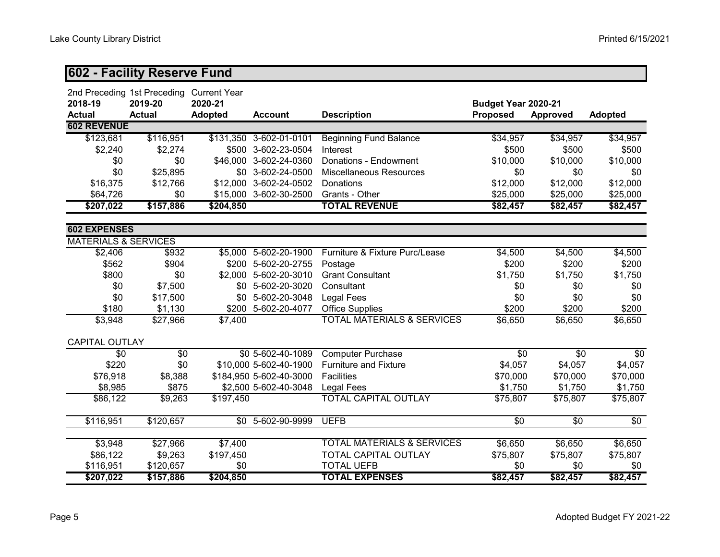## **602 - Facility Reserve Fund**

|                                 | 2nd Preceding 1st Preceding | <b>Current Year</b> |                          |                                       |                     |                 |                 |
|---------------------------------|-----------------------------|---------------------|--------------------------|---------------------------------------|---------------------|-----------------|-----------------|
| 2018-19                         | 2019-20                     | 2020-21             |                          |                                       | Budget Year 2020-21 |                 |                 |
| <b>Actual</b>                   | <b>Actual</b>               | <b>Adopted</b>      | <b>Account</b>           | <b>Description</b>                    | Proposed            | <b>Approved</b> | <b>Adopted</b>  |
| <b>602 REVENUE</b>              |                             |                     |                          |                                       |                     |                 |                 |
| \$123,681                       | \$116,951                   |                     | \$131,350 3-602-01-0101  | <b>Beginning Fund Balance</b>         | \$34,957            | \$34,957        | \$34,957        |
| \$2,240                         | \$2,274                     | \$500               | 3-602-23-0504            | Interest                              | \$500               | \$500           | \$500           |
| \$0                             | \$0                         | \$46,000            | 3-602-24-0360            | Donations - Endowment                 | \$10,000            | \$10,000        | \$10,000        |
| \$0                             | \$25,895                    | \$0                 | 3-602-24-0500            | <b>Miscellaneous Resources</b>        | \$0                 | \$0             | \$0             |
| \$16,375                        | \$12,766                    |                     | \$12,000 3-602-24-0502   | Donations                             | \$12,000            | \$12,000        | \$12,000        |
| \$64,726                        | \$0                         |                     | \$15,000 3-602-30-2500   | Grants - Other                        | \$25,000            | \$25,000        | \$25,000        |
| \$207,022                       | \$157,886                   | \$204,850           |                          | <b>TOTAL REVENUE</b>                  | \$82,457            | \$82,457        | \$82,457        |
| <b>602 EXPENSES</b>             |                             |                     |                          |                                       |                     |                 |                 |
| <b>MATERIALS &amp; SERVICES</b> |                             |                     |                          |                                       |                     |                 |                 |
| \$2,406                         | \$932                       |                     | $$5,000$ $5-602-20-1900$ | Furniture & Fixture Purc/Lease        | \$4,500             | \$4,500         | \$4,500         |
| \$562                           | \$904                       |                     | \$200 5-602-20-2755      | Postage                               | \$200               | \$200           | \$200           |
| \$800                           | \$0                         | \$2,000             | 5-602-20-3010            | <b>Grant Consultant</b>               | \$1,750             | \$1,750         | \$1,750         |
| \$0                             | \$7,500                     | \$0                 | 5-602-20-3020            | Consultant                            | \$0                 | \$0             | \$0             |
| \$0                             | \$17,500                    | \$0\$               | 5-602-20-3048            | <b>Legal Fees</b>                     | \$0                 | \$0             | \$0             |
| \$180                           | \$1,130                     | \$200               | 5-602-20-4077            | <b>Office Supplies</b>                | \$200               | \$200           | \$200           |
| \$3,948                         | \$27,966                    | \$7,400             |                          | <b>TOTAL MATERIALS &amp; SERVICES</b> | \$6,650             | \$6,650         | \$6,650         |
| <b>CAPITAL OUTLAY</b>           |                             |                     |                          |                                       |                     |                 |                 |
| \$0                             | \$0                         |                     | \$0 5-602-40-1089        | <b>Computer Purchase</b>              | \$0                 | \$0             | \$0             |
| \$220                           | \$0                         |                     | \$10,000 5-602-40-1900   | <b>Furniture and Fixture</b>          | \$4,057             | \$4,057         | \$4,057         |
| \$76,918                        | \$8,388                     |                     | \$184,950 5-602-40-3000  | <b>Facilities</b>                     | \$70,000            | \$70,000        | \$70,000        |
| \$8,985                         | \$875                       |                     | \$2,500 5-602-40-3048    | <b>Legal Fees</b>                     | \$1,750             | \$1,750         | \$1,750         |
| \$86,122                        | \$9,263                     | \$197,450           |                          | <b>TOTAL CAPITAL OUTLAY</b>           | \$75,807            | \$75,807        | \$75,807        |
| \$116,951                       | \$120,657                   |                     | \$0 5-602-90-9999        | <b>UEFB</b>                           | $\sqrt{6}$          | $\sqrt{6}$      | $\overline{50}$ |
|                                 |                             |                     |                          |                                       |                     |                 |                 |
| \$3,948                         | \$27,966                    | \$7,400             |                          | <b>TOTAL MATERIALS &amp; SERVICES</b> | \$6,650             | \$6,650         | \$6,650         |
| \$86,122                        | \$9,263                     | \$197,450           |                          | TOTAL CAPITAL OUTLAY                  | \$75,807            | \$75,807        | \$75,807        |
| \$116,951                       | \$120,657                   | \$0                 |                          | <b>TOTAL UEFB</b>                     | \$0                 | \$0             | \$0             |
| \$207,022                       | \$157,886                   | \$204,850           |                          | <b>TOTAL EXPENSES</b>                 | \$82,457            | \$82,457        | \$82,457        |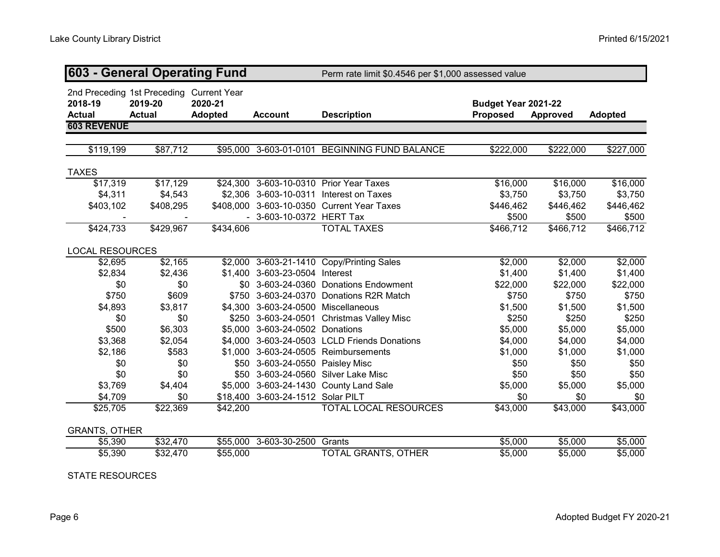| <b>603 - General Operating Fund</b> |                                                                      |                           |                                   | Perm rate limit \$0.4546 per \$1,000 assessed value |                                        |           |                |
|-------------------------------------|----------------------------------------------------------------------|---------------------------|-----------------------------------|-----------------------------------------------------|----------------------------------------|-----------|----------------|
| 2018-19<br><b>Actual</b>            | 2nd Preceding 1st Preceding Current Year<br>2019-20<br><b>Actual</b> | 2020-21<br><b>Adopted</b> | <b>Account</b>                    | <b>Description</b>                                  | Budget Year 2021-22<br><b>Proposed</b> | Approved  | <b>Adopted</b> |
| <b>603 REVENUE</b>                  |                                                                      |                           |                                   |                                                     |                                        |           |                |
| \$119,199                           | \$87,712                                                             | \$95,000                  | 3-603-01-0101                     | <b>BEGINNING FUND BALANCE</b>                       | \$222,000                              | \$222,000 | \$227,000      |
|                                     |                                                                      |                           |                                   |                                                     |                                        |           |                |
| <b>TAXES</b>                        |                                                                      |                           |                                   |                                                     |                                        |           |                |
| \$17,319                            | $\sqrt{$17,129}$                                                     |                           |                                   | \$24,300 3-603-10-0310 Prior Year Taxes             | \$16,000                               | \$16,000  | \$16,000       |
| \$4,311                             | \$4,543                                                              |                           |                                   | \$2,306 3-603-10-0311 Interest on Taxes             | \$3,750                                | \$3,750   | \$3,750        |
| \$403,102                           | \$408,295                                                            |                           |                                   | \$408,000 3-603-10-0350 Current Year Taxes          | \$446,462                              | \$446,462 | \$446,462      |
|                                     |                                                                      |                           | - 3-603-10-0372 HERT Tax          |                                                     | \$500                                  | \$500     | \$500          |
| \$424,733                           | \$429,967                                                            | \$434,606                 |                                   | <b>TOTAL TAXES</b>                                  | \$466,712                              | \$466,712 | \$466,712      |
| <b>LOCAL RESOURCES</b>              |                                                                      |                           |                                   |                                                     |                                        |           |                |
| \$2,695                             | \$2,165                                                              |                           |                                   | \$2,000 3-603-21-1410 Copy/Printing Sales           | \$2,000                                | \$2,000   | \$2,000        |
| \$2,834                             | \$2,436                                                              |                           | \$1,400 3-603-23-0504 Interest    |                                                     | \$1,400                                | \$1,400   | \$1,400        |
| \$0                                 | \$0                                                                  |                           |                                   | \$0 3-603-24-0360 Donations Endowment               | \$22,000                               | \$22,000  | \$22,000       |
| \$750                               | \$609                                                                | \$750                     |                                   | 3-603-24-0370 Donations R2R Match                   | \$750                                  | \$750     | \$750          |
| \$4,893                             | \$3,817                                                              | \$4,300                   | 3-603-24-0500 Miscellaneous       |                                                     | \$1,500                                | \$1,500   | \$1,500        |
| \$0                                 | \$0                                                                  | \$250                     |                                   | 3-603-24-0501 Christmas Valley Misc                 | \$250                                  | \$250     | \$250          |
| \$500                               | \$6,303                                                              | \$5,000                   | 3-603-24-0502 Donations           |                                                     | \$5,000                                | \$5,000   | \$5,000        |
| \$3,368                             | \$2,054                                                              | \$4,000                   |                                   | 3-603-24-0503 LCLD Friends Donations                | \$4,000                                | \$4,000   | \$4,000        |
| \$2,186                             | \$583                                                                | \$1,000                   |                                   | 3-603-24-0505 Reimbursements                        | \$1,000                                | \$1,000   | \$1,000        |
| \$0                                 | \$0                                                                  | \$50                      | 3-603-24-0550 Paisley Misc        |                                                     | \$50                                   | \$50      | \$50           |
| \$0                                 | \$0                                                                  | \$50                      |                                   | 3-603-24-0560 Silver Lake Misc                      | \$50                                   | \$50      | \$50           |
| \$3,769                             | \$4,404                                                              |                           |                                   | \$5,000 3-603-24-1430 County Land Sale              | \$5,000                                | \$5,000   | \$5,000        |
| \$4,709                             | \$0                                                                  |                           | \$18,400 3-603-24-1512 Solar PILT |                                                     | \$0                                    | \$0       | \$0            |
| \$25,705                            | \$22,369                                                             | \$42,200                  |                                   | <b>TOTAL LOCAL RESOURCES</b>                        | \$43,000                               | \$43,000  | \$43,000       |
| <b>GRANTS, OTHER</b>                |                                                                      |                           |                                   |                                                     |                                        |           |                |
| \$5,390                             | \$32,470                                                             | \$55,000                  | 3-603-30-2500                     | Grants                                              | \$5,000                                | \$5,000   | \$5,000        |
| \$5,390                             | \$32,470                                                             | \$55,000                  |                                   | TOTAL GRANTS, OTHER                                 | \$5,000                                | \$5,000   | \$5,000        |

STATE RESOURCES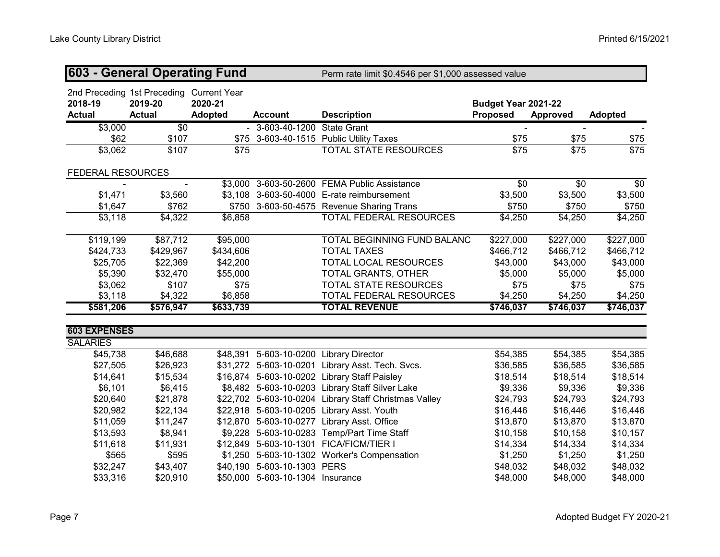| 603 - General Operating Fund |                                                                      |                           |                                  | Perm rate limit \$0.4546 per \$1,000 assessed value   |                                        |                 |                  |
|------------------------------|----------------------------------------------------------------------|---------------------------|----------------------------------|-------------------------------------------------------|----------------------------------------|-----------------|------------------|
| 2018-19<br><b>Actual</b>     | 2nd Preceding 1st Preceding Current Year<br>2019-20<br><b>Actual</b> | 2020-21<br><b>Adopted</b> | <b>Account</b>                   | <b>Description</b>                                    | Budget Year 2021-22<br><b>Proposed</b> | <b>Approved</b> | <b>Adopted</b>   |
| \$3,000                      | \$0                                                                  |                           | - 3-603-40-1200 State Grant      |                                                       |                                        |                 |                  |
| \$62                         | \$107                                                                | \$75                      |                                  | 3-603-40-1515 Public Utility Taxes                    | \$75                                   | \$75            | \$75             |
| \$3,062                      | $\overline{$}107$                                                    | \$75                      |                                  | TOTAL STATE RESOURCES                                 | \$75                                   | \$75            | $\overline{$75}$ |
| FEDERAL RESOURCES            |                                                                      |                           |                                  |                                                       |                                        |                 |                  |
|                              |                                                                      |                           |                                  | \$3,000 3-603-50-2600 FEMA Public Assistance          | $\overline{30}$                        | $\sqrt{60}$     | $\sqrt{60}$      |
| \$1,471                      | \$3,560                                                              |                           |                                  | \$3,108 3-603-50-4000 E-rate reimbursement            | \$3,500                                | \$3,500         | \$3,500          |
| \$1,647                      | \$762                                                                |                           |                                  | \$750 3-603-50-4575 Revenue Sharing Trans             | \$750                                  | \$750           | \$750            |
| \$3,118                      | \$4,322                                                              | \$6,858                   |                                  | TOTAL FEDERAL RESOURCES                               | \$4,250                                | \$4,250         | \$4,250          |
| \$119,199                    | \$87,712                                                             | \$95,000                  |                                  | TOTAL BEGINNING FUND BALANC                           | \$227,000                              | \$227,000       | \$227,000        |
| \$424,733                    | \$429,967                                                            | \$434,606                 |                                  | <b>TOTAL TAXES</b>                                    | \$466,712                              | \$466,712       | \$466,712        |
| \$25,705                     | \$22,369                                                             | \$42,200                  |                                  | TOTAL LOCAL RESOURCES                                 | \$43,000                               | \$43,000        | \$43,000         |
| \$5,390                      | \$32,470                                                             | \$55,000                  |                                  | <b>TOTAL GRANTS, OTHER</b>                            | \$5,000                                | \$5,000         | \$5,000          |
| \$3,062                      | \$107                                                                | \$75                      |                                  | <b>TOTAL STATE RESOURCES</b>                          | \$75                                   | \$75            | \$75             |
| \$3,118                      | \$4,322                                                              | \$6,858                   |                                  | TOTAL FEDERAL RESOURCES                               | \$4,250                                | \$4,250         | \$4,250          |
| \$581,206                    | \$576,947                                                            | \$633,739                 |                                  | <b>TOTAL REVENUE</b>                                  | \$746,037                              | \$746,037       | \$746,037        |
| <b>603 EXPENSES</b>          |                                                                      |                           |                                  |                                                       |                                        |                 |                  |
| <b>SALARIES</b>              |                                                                      |                           |                                  |                                                       |                                        |                 |                  |
| \$45,738                     | \$46,688                                                             |                           |                                  | \$48,391 5-603-10-0200 Library Director               | \$54,385                               | \$54,385        | \$54,385         |
| \$27,505                     | \$26,923                                                             |                           |                                  | \$31,272 5-603-10-0201 Library Asst. Tech. Svcs.      | \$36,585                               | \$36,585        | \$36,585         |
| \$14,641                     | \$15,534                                                             |                           |                                  | \$16,874 5-603-10-0202 Library Staff Paisley          | \$18,514                               | \$18,514        | \$18,514         |
| \$6,101                      | \$6,415                                                              |                           |                                  | \$8,482 5-603-10-0203 Library Staff Silver Lake       | \$9,336                                | \$9,336         | \$9,336          |
| \$20,640                     | \$21,878                                                             |                           |                                  | \$22,702 5-603-10-0204 Library Staff Christmas Valley | \$24,793                               | \$24,793        | \$24,793         |
| \$20,982                     | \$22,134                                                             |                           |                                  | \$22,918 5-603-10-0205 Library Asst. Youth            | \$16,446                               | \$16,446        | \$16,446         |
| \$11,059                     | \$11,247                                                             |                           |                                  | \$12,870 5-603-10-0277 Library Asst. Office           | \$13,870                               | \$13,870        | \$13,870         |
| \$13,593                     | \$8,941                                                              |                           |                                  | \$9,228 5-603-10-0283 Temp/Part Time Staff            | \$10,158                               | \$10,158        | \$10,157         |
| \$11,618                     | \$11,931                                                             |                           |                                  | \$12,849 5-603-10-1301 FICA/FICM/TIER I               | \$14,334                               | \$14,334        | \$14,334         |
| \$565                        | \$595                                                                |                           |                                  | \$1,250 5-603-10-1302 Worker's Compensation           | \$1,250                                | \$1,250         | \$1,250          |
| \$32,247                     | \$43,407                                                             |                           | \$40,190 5-603-10-1303 PERS      |                                                       | \$48,032                               | \$48,032        | \$48,032         |
| \$33,316                     | \$20,910                                                             |                           | \$50,000 5-603-10-1304 Insurance |                                                       | \$48,000                               | \$48,000        | \$48,000         |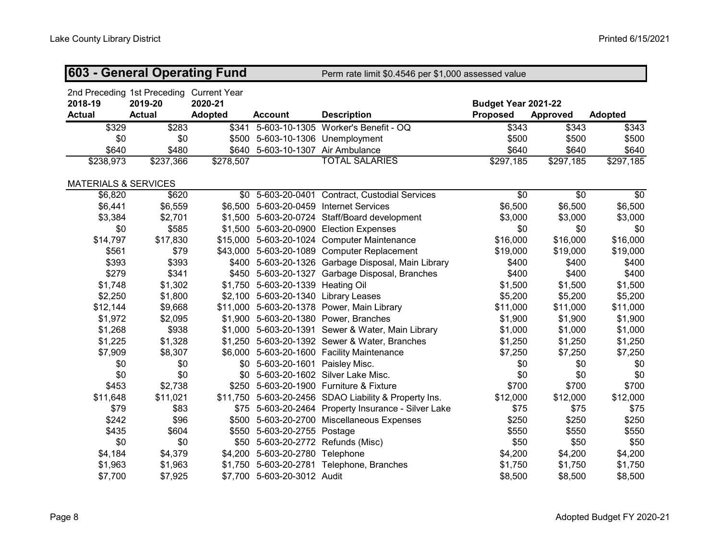| <b>603 - General Operating Fund</b> |                                                                      |                           |                                      | Perm rate limit \$0.4546 per \$1,000 assessed value   |                                        |                 |                |
|-------------------------------------|----------------------------------------------------------------------|---------------------------|--------------------------------------|-------------------------------------------------------|----------------------------------------|-----------------|----------------|
| 2018-19<br><b>Actual</b>            | 2nd Preceding 1st Preceding Current Year<br>2019-20<br><b>Actual</b> | 2020-21<br><b>Adopted</b> | <b>Account</b>                       | <b>Description</b>                                    | Budget Year 2021-22<br><b>Proposed</b> | <b>Approved</b> | <b>Adopted</b> |
| \$329                               | \$283                                                                | \$341                     |                                      | 5-603-10-1305 Worker's Benefit - OQ                   | \$343                                  | \$343           | \$343          |
| \$0                                 | \$0                                                                  |                           | \$500 5-603-10-1306 Unemployment     |                                                       | \$500                                  | \$500           | \$500          |
| \$640                               | \$480                                                                |                           | \$640 5-603-10-1307 Air Ambulance    |                                                       | \$640                                  | \$640           | \$640          |
| \$238,973                           | \$237,366                                                            | \$278,507                 |                                      | <b>TOTAL SALARIES</b>                                 | \$297,185                              | \$297,185       | \$297,185      |
| <b>MATERIALS &amp; SERVICES</b>     |                                                                      |                           |                                      |                                                       |                                        |                 |                |
| \$6,820                             | \$620                                                                |                           |                                      | \$0 5-603-20-0401 Contract, Custodial Services        | $\overline{30}$                        | \$0             | \$0            |
| \$6,441                             | \$6,559                                                              |                           |                                      | \$6,500 5-603-20-0459 Internet Services               | \$6,500                                | \$6,500         | \$6,500        |
| \$3,384                             | \$2,701                                                              |                           |                                      | \$1,500 5-603-20-0724 Staff/Board development         | \$3,000                                | \$3,000         | \$3,000        |
| \$0                                 | \$585                                                                |                           |                                      | \$1,500 5-603-20-0900 Election Expenses               | \$0                                    | \$0             | \$0            |
| \$14,797                            | \$17,830                                                             |                           |                                      | \$15,000 5-603-20-1024 Computer Maintenance           | \$16,000                               | \$16,000        | \$16,000       |
| \$561                               | \$79                                                                 |                           |                                      | \$43,000 5-603-20-1089 Computer Replacement           | \$19,000                               | \$19,000        | \$19,000       |
| \$393                               | \$393                                                                |                           |                                      | \$400 5-603-20-1326 Garbage Disposal, Main Library    | \$400                                  | \$400           | \$400          |
| \$279                               | \$341                                                                |                           |                                      | \$450 5-603-20-1327 Garbage Disposal, Branches        | \$400                                  | \$400           | \$400          |
| \$1,748                             | \$1,302                                                              |                           | \$1,750 5-603-20-1339 Heating Oil    |                                                       | \$1,500                                | \$1,500         | \$1,500        |
| \$2,250                             | \$1,800                                                              |                           | \$2,100 5-603-20-1340 Library Leases |                                                       | \$5,200                                | \$5,200         | \$5,200        |
| \$12,144                            | \$9,668                                                              |                           |                                      | \$11,000 5-603-20-1378 Power, Main Library            | \$11,000                               | \$11,000        | \$11,000       |
| \$1,972                             | \$2,095                                                              |                           |                                      | \$1,900 5-603-20-1380 Power, Branches                 | \$1,900                                | \$1,900         | \$1,900        |
| \$1,268                             | \$938                                                                |                           |                                      | \$1,000 5-603-20-1391 Sewer & Water, Main Library     | \$1,000                                | \$1,000         | \$1,000        |
| \$1,225                             | \$1,328                                                              |                           |                                      | \$1,250 5-603-20-1392 Sewer & Water, Branches         | \$1,250                                | \$1,250         | \$1,250        |
| \$7,909                             | \$8,307                                                              |                           |                                      | \$6,000 5-603-20-1600 Facility Maintenance            | \$7,250                                | \$7,250         | \$7,250        |
| \$0                                 | \$0                                                                  |                           | \$0 5-603-20-1601 Paisley Misc.      |                                                       | \$0                                    | \$0             | \$0            |
| \$0                                 | \$0                                                                  |                           |                                      | \$0 5-603-20-1602 Silver Lake Misc.                   | \$0                                    | \$0             | \$0            |
| \$453                               | \$2,738                                                              |                           |                                      | \$250 5-603-20-1900 Furniture & Fixture               | \$700                                  | \$700           | \$700          |
| \$11,648                            | \$11,021                                                             |                           |                                      | \$11,750 5-603-20-2456 SDAO Liability & Property Ins. | \$12,000                               | \$12,000        | \$12,000       |
| \$79                                | \$83                                                                 |                           |                                      | \$75 5-603-20-2464 Property Insurance - Silver Lake   | \$75                                   | \$75            | \$75           |
| \$242                               | \$96                                                                 |                           |                                      | \$500 5-603-20-2700 Miscellaneous Expenses            | \$250                                  | \$250           | \$250          |
| \$435                               | \$604                                                                |                           | \$550 5-603-20-2755 Postage          |                                                       | \$550                                  | \$550           | \$550          |
| \$0                                 | \$0                                                                  |                           | \$50 5-603-20-2772 Refunds (Misc)    |                                                       | \$50                                   | \$50            | \$50           |
| \$4,184                             | \$4,379                                                              |                           | \$4,200 5-603-20-2780 Telephone      |                                                       | \$4,200                                | \$4,200         | \$4,200        |
| \$1,963                             | \$1,963                                                              |                           |                                      | \$1,750 5-603-20-2781 Telephone, Branches             | \$1,750                                | \$1,750         | \$1,750        |
| \$7,700                             | \$7,925                                                              |                           | \$7,700 5-603-20-3012 Audit          |                                                       | \$8,500                                | \$8,500         | \$8,500        |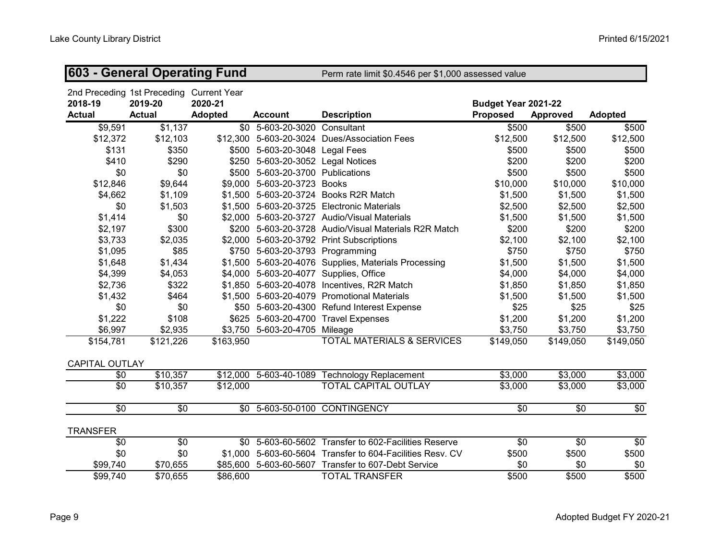| 603 - General Operating Fund |                                                                      |                           |                                   | Perm rate limit \$0.4546 per \$1,000 assessed value  |                                        |                     |                |
|------------------------------|----------------------------------------------------------------------|---------------------------|-----------------------------------|------------------------------------------------------|----------------------------------------|---------------------|----------------|
| 2018-19<br><b>Actual</b>     | 2nd Preceding 1st Preceding Current Year<br>2019-20<br><b>Actual</b> | 2020-21<br><b>Adopted</b> | <b>Account</b>                    | <b>Description</b>                                   | Budget Year 2021-22<br><b>Proposed</b> | <b>Approved</b>     | <b>Adopted</b> |
| \$9,591                      | \$1,137                                                              |                           | \$0 5-603-20-3020 Consultant      |                                                      | \$500                                  | \$500               | \$500          |
| \$12,372                     | \$12,103                                                             |                           |                                   | \$12,300 5-603-20-3024 Dues/Association Fees         | \$12,500                               | \$12,500            | \$12,500       |
| \$131                        | \$350                                                                |                           | \$500 5-603-20-3048 Legal Fees    |                                                      | \$500                                  | \$500               | \$500          |
| \$410                        | \$290                                                                |                           | \$250 5-603-20-3052 Legal Notices |                                                      | \$200                                  | \$200               | \$200          |
| \$0                          | \$0                                                                  |                           | \$500 5-603-20-3700 Publications  |                                                      | \$500                                  | \$500               | \$500          |
| \$12,846                     | \$9,644                                                              | \$9,000                   | 5-603-20-3723 Books               |                                                      | \$10,000                               | \$10,000            | \$10,000       |
| \$4,662                      | \$1,109                                                              |                           |                                   | \$1,500 5-603-20-3724 Books R2R Match                | \$1,500                                | \$1,500             | \$1,500        |
| \$0                          | \$1,503                                                              |                           |                                   | \$1,500 5-603-20-3725 Electronic Materials           | \$2,500                                | \$2,500             | \$2,500        |
| \$1,414                      | \$0                                                                  |                           |                                   | \$2,000 5-603-20-3727 Audio/Visual Materials         | \$1,500                                | \$1,500             | \$1,500        |
| \$2,197                      | \$300                                                                | \$200                     |                                   | 5-603-20-3728 Audio/Visual Materials R2R Match       | \$200                                  | \$200               | \$200          |
| \$3,733                      | \$2,035                                                              |                           |                                   | \$2,000 5-603-20-3792 Print Subscriptions            | \$2,100                                | \$2,100             | \$2,100        |
| \$1,095                      | \$85                                                                 |                           | \$750 5-603-20-3793 Programming   |                                                      | \$750                                  | \$750               | \$750          |
| \$1,648                      | \$1,434                                                              |                           |                                   | \$1,500 5-603-20-4076 Supplies, Materials Processing | \$1,500                                | \$1,500             | \$1,500        |
| \$4,399                      | \$4,053                                                              |                           |                                   | \$4,000 5-603-20-4077 Supplies, Office               | \$4,000                                | \$4,000             | \$4,000        |
| \$2,736                      | \$322                                                                |                           |                                   | \$1,850 5-603-20-4078 Incentives, R2R Match          | \$1,850                                | \$1,850             | \$1,850        |
| \$1,432                      | \$464                                                                |                           |                                   | \$1,500 5-603-20-4079 Promotional Materials          | \$1,500                                | \$1,500             | \$1,500        |
| \$0                          | \$0                                                                  |                           |                                   | \$50 5-603-20-4300 Refund Interest Expense           | \$25                                   | \$25                | \$25           |
| \$1,222                      | \$108                                                                |                           |                                   | \$625 5-603-20-4700 Travel Expenses                  | \$1,200                                | \$1,200             | \$1,200        |
| \$6,997                      | \$2,935                                                              |                           | \$3,750 5-603-20-4705 Mileage     |                                                      | \$3,750                                | \$3,750             | \$3,750        |
| \$154,781                    | \$121,226                                                            | \$163,950                 |                                   | <b>TOTAL MATERIALS &amp; SERVICES</b>                | \$149,050                              | \$149,050           | \$149,050      |
| <b>CAPITAL OUTLAY</b>        |                                                                      |                           |                                   |                                                      |                                        |                     |                |
| \$0                          | \$10,357                                                             |                           |                                   | \$12,000 5-603-40-1089 Technology Replacement        | \$3,000                                | $\overline{$}3,000$ | \$3,000        |
| \$0                          | \$10,357                                                             | \$12,000                  |                                   | TOTAL CAPITAL OUTLAY                                 | \$3,000                                | \$3,000             | \$3,000        |
| \$0                          | \$0                                                                  | \$0                       |                                   | 5-603-50-0100 CONTINGENCY                            | \$0                                    | \$0                 | \$0            |
| <b>TRANSFER</b>              |                                                                      |                           |                                   |                                                      |                                        |                     |                |
| \$0                          | \$0                                                                  |                           |                                   | \$0 5-603-60-5602 Transfer to 602-Facilities Reserve | $\sqrt{6}$                             | \$0                 | \$0            |
| \$0                          | \$0                                                                  | \$1,000                   |                                   | 5-603-60-5604 Transfer to 604-Facilities Resv. CV    | \$500                                  | \$500               | \$500          |
| \$99,740                     | \$70,655                                                             | \$85,600                  |                                   | 5-603-60-5607 Transfer to 607-Debt Service           | \$0                                    | \$0                 | \$0            |
| \$99,740                     | \$70,655                                                             | \$86,600                  |                                   | <b>TOTAL TRANSFER</b>                                | \$500                                  | \$500               | \$500          |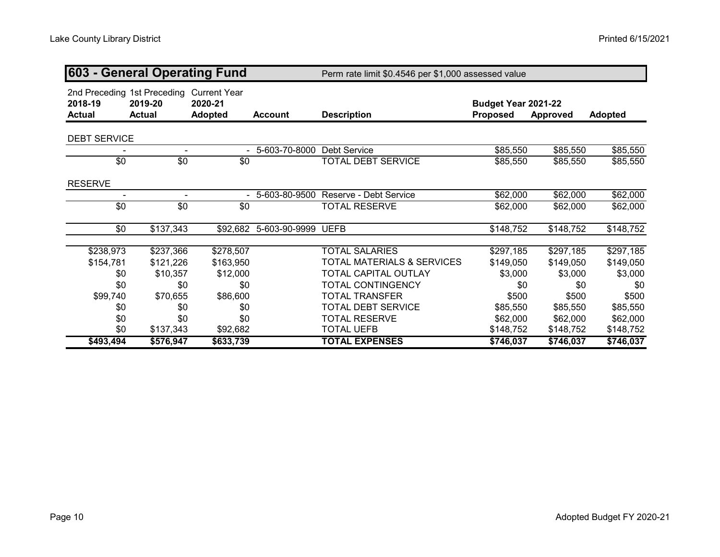| 603 - General Operating Fund |                                                         |                                                  |                    | Perm rate limit \$0.4546 per \$1,000 assessed value |                                 |                 |                |
|------------------------------|---------------------------------------------------------|--------------------------------------------------|--------------------|-----------------------------------------------------|---------------------------------|-----------------|----------------|
| 2018-19<br><b>Actual</b>     | 2nd Preceding 1st Preceding<br>2019-20<br><b>Actual</b> | <b>Current Year</b><br>2020-21<br><b>Adopted</b> | <b>Account</b>     | <b>Description</b>                                  | Budget Year 2021-22<br>Proposed | <b>Approved</b> | <b>Adopted</b> |
| <b>DEBT SERVICE</b>          |                                                         |                                                  |                    |                                                     |                                 |                 |                |
|                              | $\overline{\phantom{a}}$                                |                                                  | 5-603-70-8000      | <b>Debt Service</b>                                 | \$85,550                        | \$85,550        | \$85,550       |
| $\sqrt{6}$                   | $\sqrt{6}$                                              | \$0                                              |                    | <b>TOTAL DEBT SERVICE</b>                           | \$85,550                        | \$85,550        | \$85,550       |
| <b>RESERVE</b>               |                                                         |                                                  |                    |                                                     |                                 |                 |                |
| $\blacksquare$               | $\blacksquare$                                          |                                                  | 5-603-80-9500      | Reserve - Debt Service                              | \$62,000                        | \$62,000        | \$62,000       |
| $\sqrt{6}$                   | $\sqrt{6}$                                              | \$0                                              |                    | <b>TOTAL RESERVE</b>                                | \$62,000                        | \$62,000        | \$62,000       |
| \$0                          | \$137,343                                               | \$92,682                                         | 5-603-90-9999 UEFB |                                                     | \$148,752                       | \$148,752       | \$148,752      |
| \$238,973                    | \$237,366                                               | \$278,507                                        |                    | <b>TOTAL SALARIES</b>                               | \$297,185                       | \$297,185       | \$297,185      |
| \$154,781                    | \$121,226                                               | \$163,950                                        |                    | <b>TOTAL MATERIALS &amp; SERVICES</b>               | \$149,050                       | \$149,050       | \$149,050      |
| \$0                          | \$10,357                                                | \$12,000                                         |                    | TOTAL CAPITAL OUTLAY                                | \$3,000                         | \$3,000         | \$3,000        |
| \$0                          | \$0                                                     | \$0                                              |                    | <b>TOTAL CONTINGENCY</b>                            | \$0                             | \$0             | \$0            |
| \$99,740                     | \$70,655                                                | \$86,600                                         |                    | <b>TOTAL TRANSFER</b>                               | \$500                           | \$500           | \$500          |
| \$0                          | \$0                                                     | \$0                                              |                    | <b>TOTAL DEBT SERVICE</b>                           | \$85,550                        | \$85,550        | \$85,550       |
| \$0                          | \$0                                                     | \$0                                              |                    | <b>TOTAL RESERVE</b>                                | \$62,000                        | \$62,000        | \$62,000       |
| \$0                          | \$137,343                                               | \$92,682                                         |                    | <b>TOTAL UEFB</b>                                   | \$148,752                       | \$148,752       | \$148,752      |
| \$493,494                    | \$576,947                                               | \$633,739                                        |                    | <b>TOTAL EXPENSES</b>                               | \$746,037                       | \$746,037       | \$746,037      |